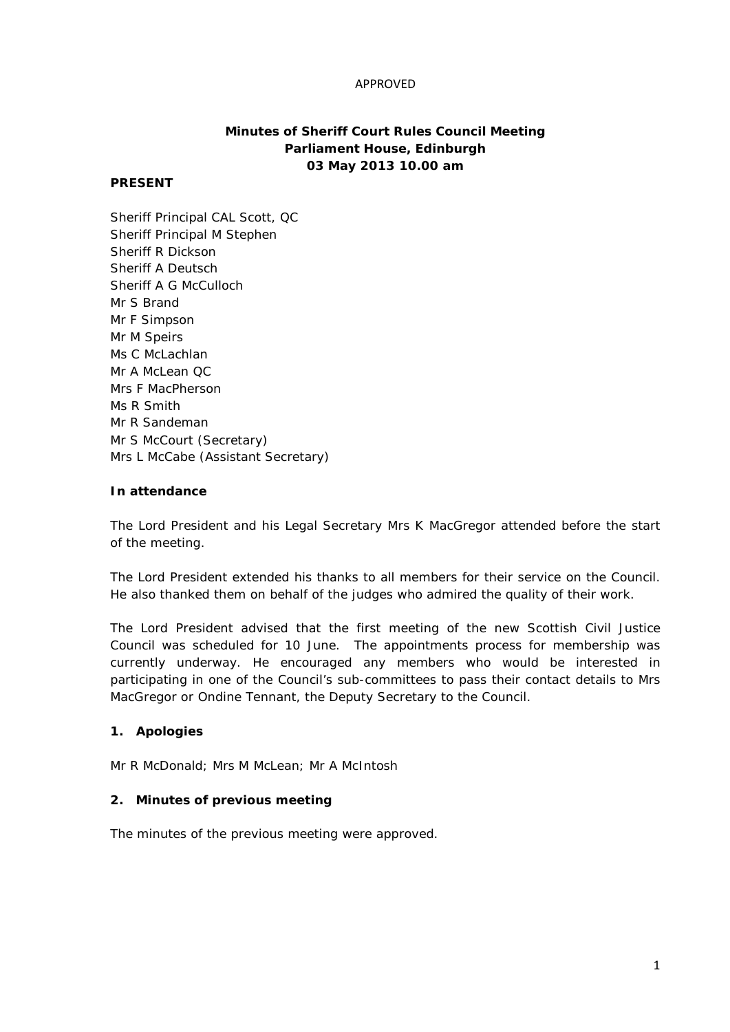#### APPROVED

# **Minutes of Sheriff Court Rules Council Meeting Parliament House, Edinburgh 03 May 2013 10.00 am**

#### **PRESENT**

Sheriff Principal CAL Scott, QC Sheriff Principal M Stephen Sheriff R Dickson Sheriff A Deutsch Sheriff A G McCulloch Mr S Brand Mr F Simpson Mr M Speirs Ms C McLachlan Mr A McLean QC Mrs F MacPherson Ms R Smith Mr R Sandeman Mr S McCourt (Secretary) Mrs L McCabe (Assistant Secretary)

#### **In attendance**

The Lord President and his Legal Secretary Mrs K MacGregor attended before the start of the meeting.

The Lord President extended his thanks to all members for their service on the Council. He also thanked them on behalf of the judges who admired the quality of their work.

The Lord President advised that the first meeting of the new Scottish Civil Justice Council was scheduled for 10 June. The appointments process for membership was currently underway. He encouraged any members who would be interested in participating in one of the Council's sub-committees to pass their contact details to Mrs MacGregor or Ondine Tennant, the Deputy Secretary to the Council.

### **1. Apologies**

Mr R McDonald; Mrs M McLean; Mr A McIntosh

### **2. Minutes of previous meeting**

The minutes of the previous meeting were approved.